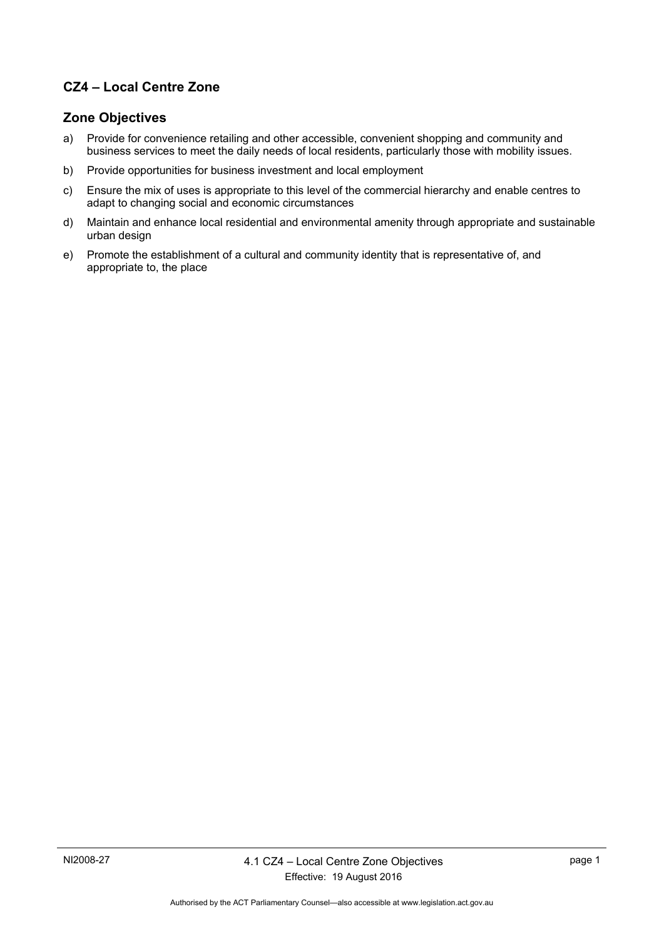## **CZ4 – Local Centre Zone**

#### **Zone Objectives**

- a) Provide for convenience retailing and other accessible, convenient shopping and community and business services to meet the daily needs of local residents, particularly those with mobility issues.
- b) Provide opportunities for business investment and local employment
- c) Ensure the mix of uses is appropriate to this level of the commercial hierarchy and enable centres to adapt to changing social and economic circumstances
- d) Maintain and enhance local residential and environmental amenity through appropriate and sustainable urban design
- e) Promote the establishment of a cultural and community identity that is representative of, and appropriate to, the place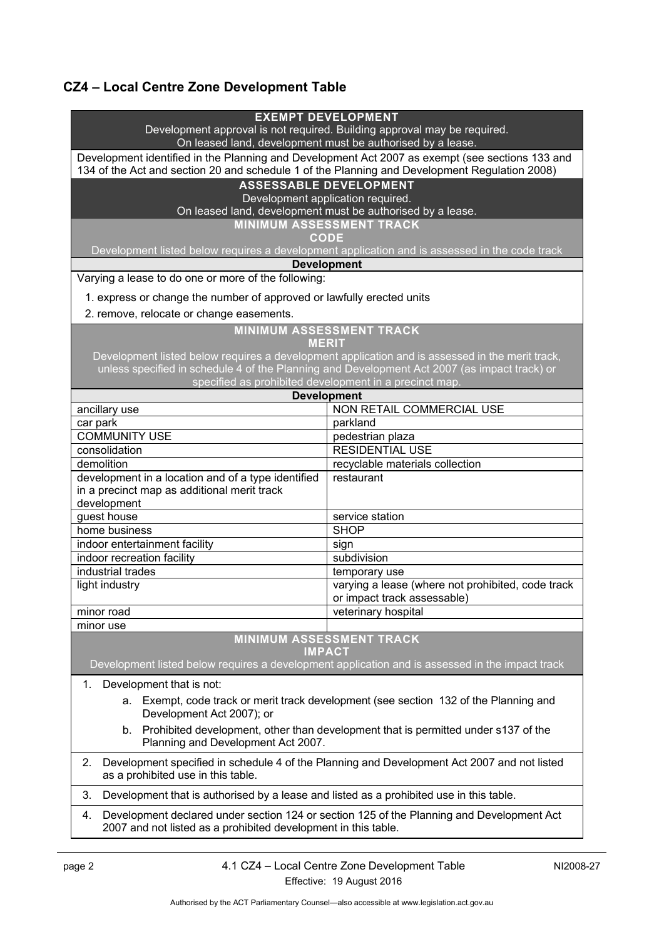# **CZ4 – Local Centre Zone Development Table**

| <b>EXEMPT DEVELOPMENT</b>                                                                                                                                                                        |                                                                                                 |  |
|--------------------------------------------------------------------------------------------------------------------------------------------------------------------------------------------------|-------------------------------------------------------------------------------------------------|--|
| Development approval is not required. Building approval may be required.                                                                                                                         |                                                                                                 |  |
| On leased land, development must be authorised by a lease.                                                                                                                                       |                                                                                                 |  |
| Development identified in the Planning and Development Act 2007 as exempt (see sections 133 and<br>134 of the Act and section 20 and schedule 1 of the Planning and Development Regulation 2008) |                                                                                                 |  |
|                                                                                                                                                                                                  |                                                                                                 |  |
| <b>ASSESSABLE DEVELOPMENT</b>                                                                                                                                                                    |                                                                                                 |  |
| Development application required.                                                                                                                                                                |                                                                                                 |  |
| On leased land, development must be authorised by a lease.<br><b>MINIMUM ASSESSMENT TRACK</b>                                                                                                    |                                                                                                 |  |
| <b>CODE</b>                                                                                                                                                                                      |                                                                                                 |  |
| Development listed below requires a development application and is assessed in the code track                                                                                                    |                                                                                                 |  |
| <b>Development</b>                                                                                                                                                                               |                                                                                                 |  |
| Varying a lease to do one or more of the following:                                                                                                                                              |                                                                                                 |  |
|                                                                                                                                                                                                  |                                                                                                 |  |
| 1. express or change the number of approved or lawfully erected units                                                                                                                            |                                                                                                 |  |
| 2. remove, relocate or change easements.                                                                                                                                                         |                                                                                                 |  |
| <b>MINIMUM ASSESSMENT TRACK</b>                                                                                                                                                                  |                                                                                                 |  |
|                                                                                                                                                                                                  | <b>MERIT</b>                                                                                    |  |
| Development listed below requires a development application and is assessed in the merit track,                                                                                                  |                                                                                                 |  |
| unless specified in schedule 4 of the Planning and Development Act 2007 (as impact track) or                                                                                                     |                                                                                                 |  |
| specified as prohibited development in a precinct map.                                                                                                                                           |                                                                                                 |  |
|                                                                                                                                                                                                  | <b>Development</b>                                                                              |  |
| ancillary use                                                                                                                                                                                    | NON RETAIL COMMERCIAL USE                                                                       |  |
| car park                                                                                                                                                                                         | parkland                                                                                        |  |
| <b>COMMUNITY USE</b>                                                                                                                                                                             | pedestrian plaza                                                                                |  |
| consolidation                                                                                                                                                                                    | <b>RESIDENTIAL USE</b>                                                                          |  |
| demolition                                                                                                                                                                                       | recyclable materials collection                                                                 |  |
| development in a location and of a type identified                                                                                                                                               | restaurant                                                                                      |  |
| in a precinct map as additional merit track                                                                                                                                                      |                                                                                                 |  |
| development                                                                                                                                                                                      |                                                                                                 |  |
| guest house                                                                                                                                                                                      | service station<br><b>SHOP</b>                                                                  |  |
| home business                                                                                                                                                                                    |                                                                                                 |  |
| indoor entertainment facility<br>indoor recreation facility                                                                                                                                      | sign                                                                                            |  |
| industrial trades                                                                                                                                                                                | subdivision                                                                                     |  |
|                                                                                                                                                                                                  | temporary use                                                                                   |  |
| light industry                                                                                                                                                                                   | varying a lease (where not prohibited, code track<br>or impact track assessable)                |  |
| minor road                                                                                                                                                                                       | veterinary hospital                                                                             |  |
| minor use                                                                                                                                                                                        |                                                                                                 |  |
| <b>MINIMUM ASSESSMENT TRACK</b>                                                                                                                                                                  |                                                                                                 |  |
| <b>IMPACT</b>                                                                                                                                                                                    |                                                                                                 |  |
|                                                                                                                                                                                                  | Development listed below requires a development application and is assessed in the impact track |  |
|                                                                                                                                                                                                  |                                                                                                 |  |
| Development that is not:<br>1.                                                                                                                                                                   |                                                                                                 |  |
| a. Exempt, code track or merit track development (see section 132 of the Planning and                                                                                                            |                                                                                                 |  |
| Development Act 2007); or                                                                                                                                                                        |                                                                                                 |  |
| Prohibited development, other than development that is permitted under s137 of the<br>b.                                                                                                         |                                                                                                 |  |
| Planning and Development Act 2007.                                                                                                                                                               |                                                                                                 |  |
| Development specified in schedule 4 of the Planning and Development Act 2007 and not listed<br>2.                                                                                                |                                                                                                 |  |
| as a prohibited use in this table.                                                                                                                                                               |                                                                                                 |  |
|                                                                                                                                                                                                  |                                                                                                 |  |
| 3.<br>Development that is authorised by a lease and listed as a prohibited use in this table.                                                                                                    |                                                                                                 |  |
| Development declared under section 124 or section 125 of the Planning and Development Act<br>4.                                                                                                  |                                                                                                 |  |
| 2007 and not listed as a prohibited development in this table.                                                                                                                                   |                                                                                                 |  |
|                                                                                                                                                                                                  |                                                                                                 |  |